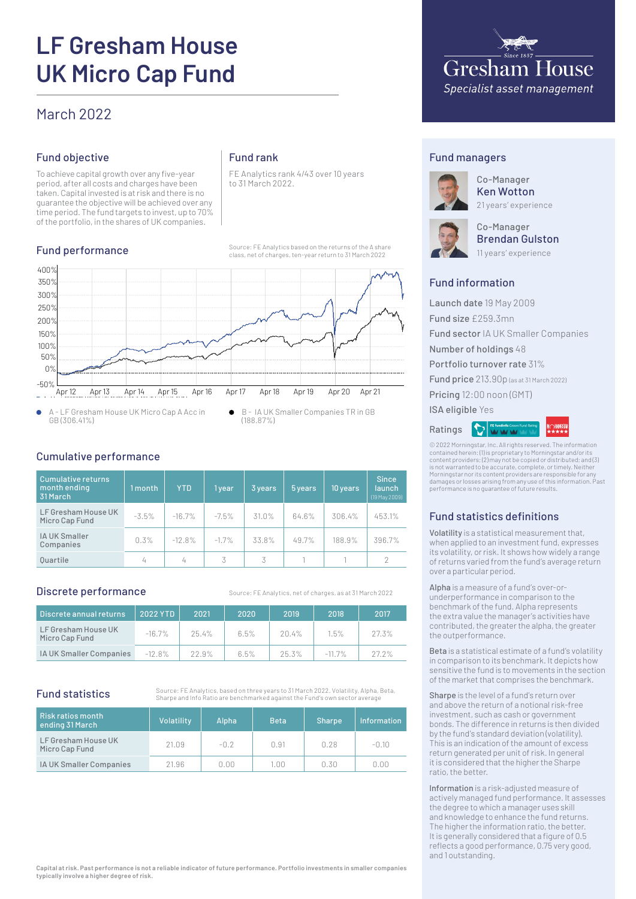# **LF Gresham House UK Micro Cap Fund**

# March 2022

# Fund objective

To achieve capital growth over any five-year period, after all costs and charges have been taken. Capital invested is at risk and there is no guarantee the objective will be achieved over any time period. The fund targets to invest, up to 70% of the portfolio, in the shares of UK companies.

# Fund performance

# Fund rank

FE Analytics rank 4/43 over 10 years to 31 March 2022.

Source: FE Analytics based on the returns of the A share class, net of charges, ten-year return to 31 March 2022



A - LF Gresham House UK Micro Cap A Acc in  $\bullet$ GB (306.41%)

B - IA UK Smaller Companies TR in GB  $\bullet$ (188.87%)

#### Cumulative performance

| Cumulative returns<br>month ending<br>31 March | 1 month | <b>YTD</b> | 1 year   | 3 years | 5 years | 10 years | <b>Since</b><br>launch<br>(19 May 2009) |
|------------------------------------------------|---------|------------|----------|---------|---------|----------|-----------------------------------------|
| LF Gresham House UK<br>Micro Cap Fund          | $-3.5%$ | $-16.7%$   | $-7.5\%$ | 31.0%   | 64.6%   | 306.4%   | 453.1%                                  |
| <b>IA UK Smaller</b><br>Companies              | 0.3%    | $-12.8%$   | $-1.7%$  | 33.8%   | 49.7%   | 188.9%   | 396.7%                                  |
| <b>Ouartile</b>                                | 4       | 4          | 3        | 3       |         |          | $\mathcal{P}$                           |

#### Discrete performance

Source: FE Analytics, net of charges, as at 31 March 2022

| Discrete annual returns               | 2022 YTD  | 2021     | 2020 | 2019     | 2018      | 2017  |
|---------------------------------------|-----------|----------|------|----------|-----------|-------|
| LF Gresham House UK<br>Micro Cap Fund | $-16.7%$  | $25.4\%$ | 6.5% | $20.4\%$ | 1.5%      | 27.3% |
| IA UK Smaller Companies               | $-12.8\%$ | 22.9%    | 6.5% | 25.3%    | $-11.7\%$ | 27.2% |

## Fund statistics

Source: FE Analytics, based on three years to 31 March 2022. Volatility, Alpha, Beta, Sharpe and Info Ratio are benchmarked against the Fund's own sector average

| Risk ratios month<br>ending 31 March  | Volatility | Alpha  | <b>Beta</b> | <b>Sharpe</b> | <b>Information</b> |
|---------------------------------------|------------|--------|-------------|---------------|--------------------|
| LF Gresham House UK<br>Micro Cap Fund | 21.09      | $-0.2$ | 0.91        | n.28          | $-0.10$            |
| IA UK Smaller Companies               | 21.96      | 0.00   | 1.00        | 0.30          | 0.OO               |



#### Fund managers



Co-Manager Ken Wotton 21 years' experience



Co-Manager Brendan Gulston 11 years' experience

## Fund information

Launch date 19 May 2009 Fund size £259.3mn Fund sector IA UK Smaller Companies Number of holdings 48 Portfolio turnover rate 31% Fund price 213.90p (as at 31 March 2022) Pricing 12:00 noon (GMT) ISA eligible Yes **Execution** Ratings

© 2022 Morningstar, Inc. All rights reserved. The information contained herein: (1) is proprietary to Morningstar and/or its content providers; (2) may not be copied or distributed; and (3) is not warranted to be accurate, complete, or timely. Neither Morningstar nor its content providers are responsible for any damages or losses arising from any use of this information. Past performance is no guarantee of future results.

# Fund statistics definitions

Volatility is a statistical measurement that, when applied to an investment fund, expresses its volatility, or risk. It shows how widely a range of returns varied from the fund's average return over a particular period.

Alpha is a measure of a fund's over-orunderperformance in comparison to the benchmark of the fund. Alpha represents the extra value the manager's activities have contributed, the greater the alpha, the greater the outperformance.

Beta is a statistical estimate of a fund's volatility in comparison to its benchmark. It depicts how sensitive the fund is to movements in the section of the market that comprises the benchmark.

Sharpe is the level of a fund's return over and above the return of a notional risk-free investment, such as cash or government bonds. The difference in returns is then divided by the fund's standard deviation (volatility). This is an indication of the amount of excess return generated per unit of risk. In general it is considered that the higher the Sharpe ratio, the better.

Information is a risk-adjusted measure of actively managed fund performance. It assesses the degree to which a manager uses skill and knowledge to enhance the fund returns. The higher the information ratio, the better. It is generally considered that a figure of 0.5 reflects a good performance, 0.75 very good, and 1 outstanding.

**Capital at risk. Past performance is not a reliable indicator of future performance. Portfolio investments in smaller companies typically involve a higher degree of risk.**